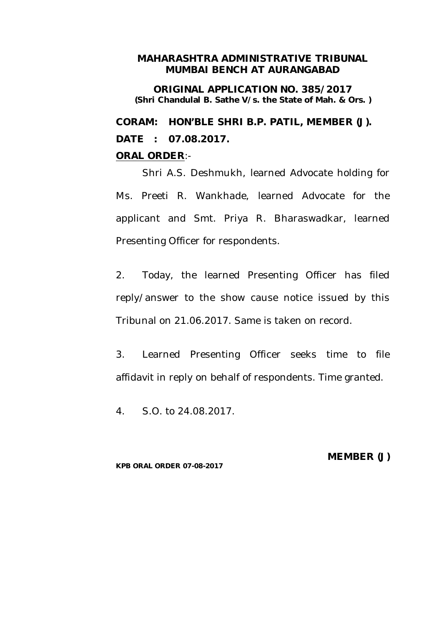**ORIGINAL APPLICATION NO. 385/2017 (Shri Chandulal B. Sathe V/s. the State of Mah. & Ors. )**

**CORAM: HON'BLE SHRI B.P. PATIL, MEMBER (J). DATE : 07.08.2017.**

### **ORAL ORDER**:-

Shri A.S. Deshmukh, learned Advocate holding for Ms. Preeti R. Wankhade, learned Advocate for the applicant and Smt. Priya R. Bharaswadkar, learned Presenting Officer for respondents.

2. Today, the learned Presenting Officer has filed reply/answer to the show cause notice issued by this Tribunal on 21.06.2017. Same is taken on record.

3. Learned Presenting Officer seeks time to file affidavit in reply on behalf of respondents. Time granted.

4. S.O. to 24.08.2017.

#### **KPB ORAL ORDER 07-08-2017**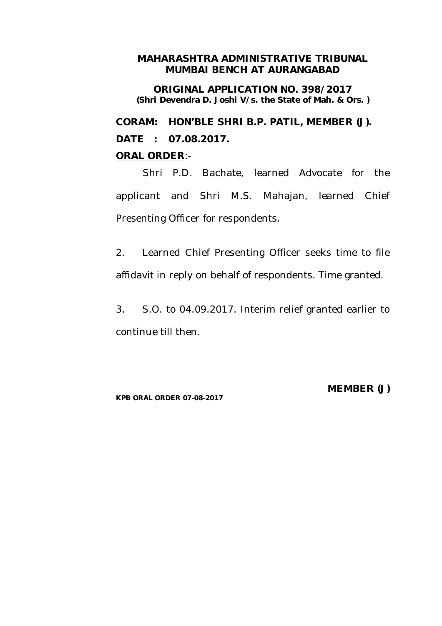**ORIGINAL APPLICATION NO. 398/2017 (Shri Devendra D. Joshi V/s. the State of Mah. & Ors. )**

**CORAM: HON'BLE SHRI B.P. PATIL, MEMBER (J). DATE : 07.08.2017.**

## **ORAL ORDER**:-

Shri P.D. Bachate, learned Advocate for the applicant and Shri M.S. Mahajan, learned Chief Presenting Officer for respondents.

2. Learned Chief Presenting Officer seeks time to file affidavit in reply on behalf of respondents. Time granted.

3. S.O. to 04.09.2017. Interim relief granted earlier to continue till then.

**KPB ORAL ORDER 07-08-2017**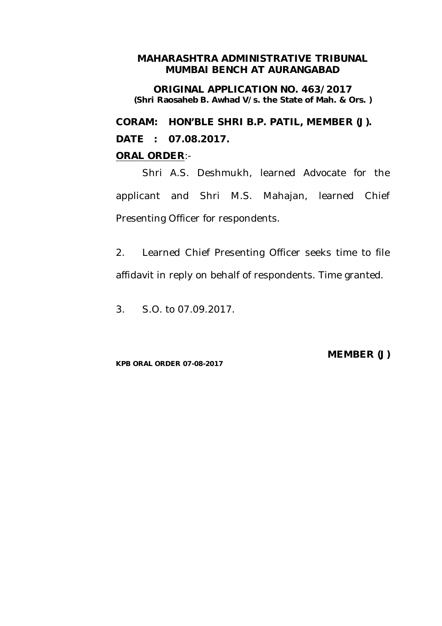**ORIGINAL APPLICATION NO. 463/2017 (Shri Raosaheb B. Awhad V/s. the State of Mah. & Ors. )**

**CORAM: HON'BLE SHRI B.P. PATIL, MEMBER (J). DATE : 07.08.2017.**

## **ORAL ORDER**:-

Shri A.S. Deshmukh, learned Advocate for the applicant and Shri M.S. Mahajan, learned Chief Presenting Officer for respondents.

2. Learned Chief Presenting Officer seeks time to file affidavit in reply on behalf of respondents. Time granted.

3. S.O. to 07.09.2017.

**KPB ORAL ORDER 07-08-2017**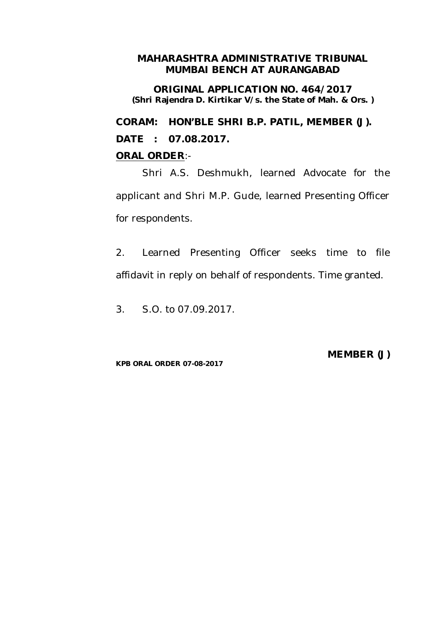**ORIGINAL APPLICATION NO. 464/2017 (Shri Rajendra D. Kirtikar V/s. the State of Mah. & Ors. )**

**CORAM: HON'BLE SHRI B.P. PATIL, MEMBER (J). DATE : 07.08.2017.**

## **ORAL ORDER**:-

Shri A.S. Deshmukh, learned Advocate for the applicant and Shri M.P. Gude, learned Presenting Officer for respondents.

2. Learned Presenting Officer seeks time to file affidavit in reply on behalf of respondents. Time granted.

3. S.O. to 07.09.2017.

**KPB ORAL ORDER 07-08-2017**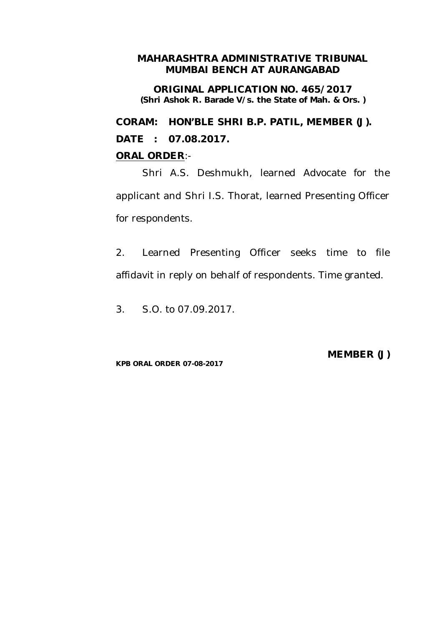**ORIGINAL APPLICATION NO. 465/2017 (Shri Ashok R. Barade V/s. the State of Mah. & Ors. )**

**CORAM: HON'BLE SHRI B.P. PATIL, MEMBER (J). DATE : 07.08.2017.**

## **ORAL ORDER**:-

Shri A.S. Deshmukh, learned Advocate for the applicant and Shri I.S. Thorat, learned Presenting Officer for respondents.

2. Learned Presenting Officer seeks time to file affidavit in reply on behalf of respondents. Time granted.

3. S.O. to 07.09.2017.

**KPB ORAL ORDER 07-08-2017**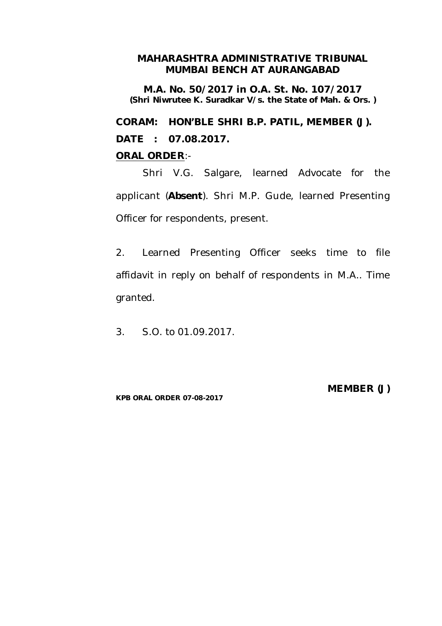**M.A. No. 50/2017 in O.A. St. No. 107/2017 (Shri Niwrutee K. Suradkar V/s. the State of Mah. & Ors. )**

**CORAM: HON'BLE SHRI B.P. PATIL, MEMBER (J). DATE : 07.08.2017.**

## **ORAL ORDER**:-

Shri V.G. Salgare, learned Advocate for the applicant (**Absent**). Shri M.P. Gude, learned Presenting Officer for respondents, present.

2. Learned Presenting Officer seeks time to file affidavit in reply on behalf of respondents in M.A.. Time granted.

3. S.O. to 01.09.2017.

**KPB ORAL ORDER 07-08-2017**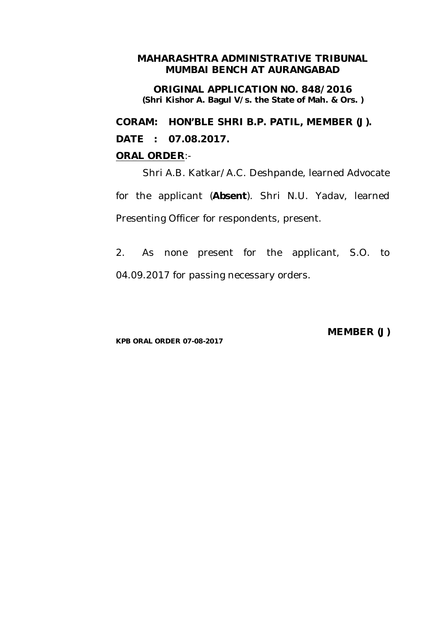**ORIGINAL APPLICATION NO. 848/2016 (Shri Kishor A. Bagul V/s. the State of Mah. & Ors. )**

**CORAM: HON'BLE SHRI B.P. PATIL, MEMBER (J). DATE : 07.08.2017.**

## **ORAL ORDER**:-

Shri A.B. Katkar/A.C. Deshpande, learned Advocate for the applicant (**Absent**). Shri N.U. Yadav, learned Presenting Officer for respondents, present.

2. As none present for the applicant, S.O. to 04.09.2017 for passing necessary orders.

**KPB ORAL ORDER 07-08-2017**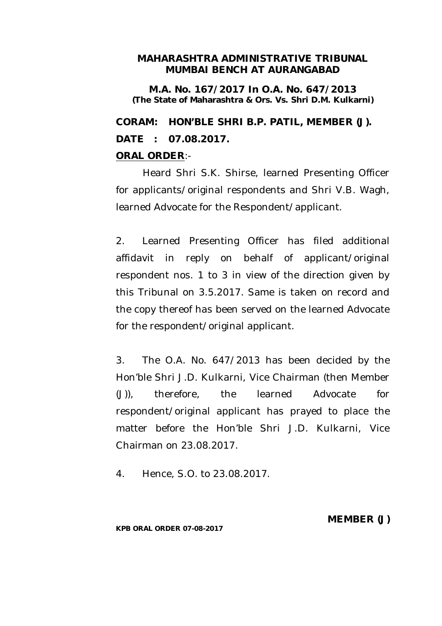**M.A. No. 167/2017 In O.A. No. 647/2013 (The State of Maharashtra & Ors. Vs. Shri D.M. Kulkarni)**

**CORAM: HON'BLE SHRI B.P. PATIL, MEMBER (J). DATE : 07.08.2017.**

## **ORAL ORDER**:-

Heard Shri S.K. Shirse, learned Presenting Officer for applicants/original respondents and Shri V.B. Wagh, learned Advocate for the Respondent/applicant.

2. Learned Presenting Officer has filed additional affidavit in reply on behalf of applicant/original respondent nos. 1 to 3 in view of the direction given by this Tribunal on 3.5.2017. Same is taken on record and the copy thereof has been served on the learned Advocate for the respondent/original applicant.

3. The O.A. No. 647/2013 has been decided by the Hon'ble Shri J.D. Kulkarni, Vice Chairman (then Member (J)), therefore, the learned Advocate for respondent/original applicant has prayed to place the matter before the Hon'ble Shri J.D. Kulkarni, Vice Chairman on 23.08.2017.

4. Hence, S.O. to 23.08.2017.

**MEMBER (J)**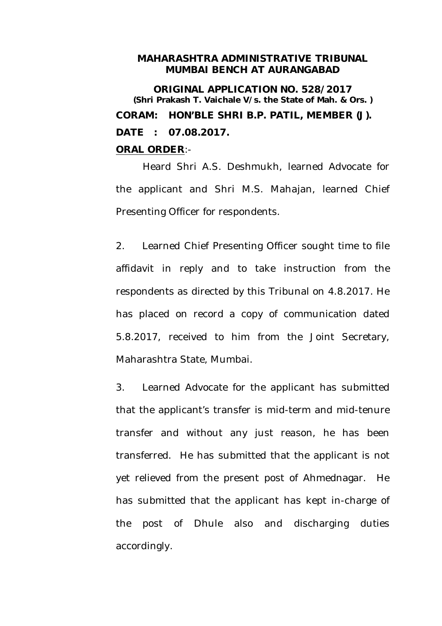**ORIGINAL APPLICATION NO. 528/2017 (Shri Prakash T. Vaichale V/s. the State of Mah. & Ors. ) CORAM: HON'BLE SHRI B.P. PATIL, MEMBER (J). DATE : 07.08.2017. ORAL ORDER**:-

Heard Shri A.S. Deshmukh, learned Advocate for the applicant and Shri M.S. Mahajan, learned Chief Presenting Officer for respondents.

2. Learned Chief Presenting Officer sought time to file affidavit in reply and to take instruction from the respondents as directed by this Tribunal on 4.8.2017. He has placed on record a copy of communication dated 5.8.2017, received to him from the Joint Secretary, Maharashtra State, Mumbai.

3. Learned Advocate for the applicant has submitted that the applicant's transfer is mid-term and mid-tenure transfer and without any just reason, he has been transferred. He has submitted that the applicant is not yet relieved from the present post of Ahmednagar. He has submitted that the applicant has kept in-charge of the post of Dhule also and discharging duties accordingly.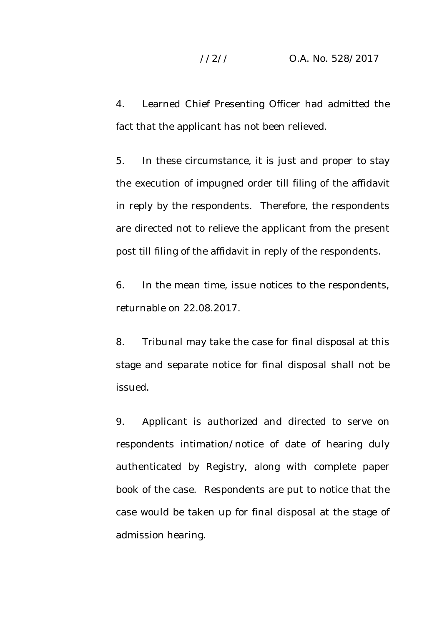4. Learned Chief Presenting Officer had admitted the fact that the applicant has not been relieved.

5. In these circumstance, it is just and proper to stay the execution of impugned order till filing of the affidavit in reply by the respondents. Therefore, the respondents are directed not to relieve the applicant from the present post till filing of the affidavit in reply of the respondents.

6. In the mean time, issue notices to the respondents, returnable on 22.08.2017.

8. Tribunal may take the case for final disposal at this stage and separate notice for final disposal shall not be issued.

9. Applicant is authorized and directed to serve on respondents intimation/notice of date of hearing duly authenticated by Registry, along with complete paper book of the case. Respondents are put to notice that the case would be taken up for final disposal at the stage of admission hearing.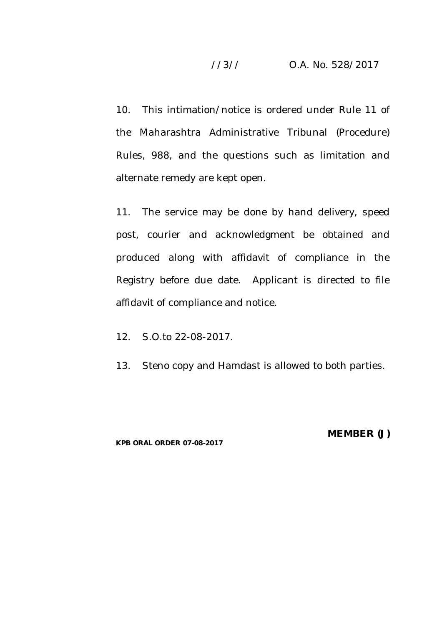## //3// O.A. No. 528/2017

10. This intimation/notice is ordered under Rule 11 of the Maharashtra Administrative Tribunal (Procedure) Rules, 988, and the questions such as limitation and alternate remedy are kept open.

11. The service may be done by hand delivery, speed post, courier and acknowledgment be obtained and produced along with affidavit of compliance in the Registry before due date. Applicant is directed to file affidavit of compliance and notice.

12. S.O.to 22-08-2017.

13. Steno copy and Hamdast is allowed to both parties.

**KPB ORAL ORDER 07-08-2017**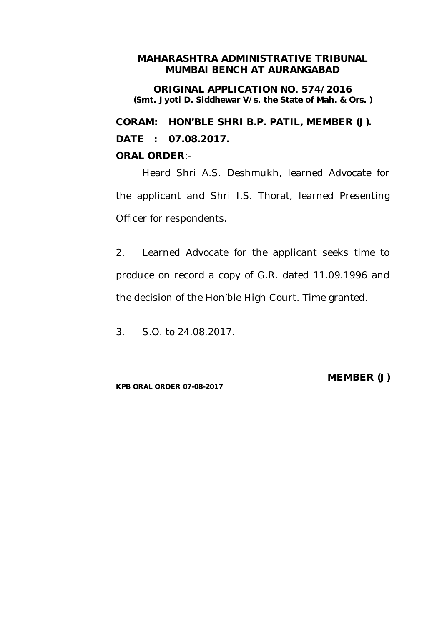**ORIGINAL APPLICATION NO. 574/2016 (Smt. Jyoti D. Siddhewar V/s. the State of Mah. & Ors. )**

**CORAM: HON'BLE SHRI B.P. PATIL, MEMBER (J). DATE : 07.08.2017.**

## **ORAL ORDER**:-

Heard Shri A.S. Deshmukh, learned Advocate for the applicant and Shri I.S. Thorat, learned Presenting Officer for respondents.

2. Learned Advocate for the applicant seeks time to produce on record a copy of G.R. dated 11.09.1996 and the decision of the Hon'ble High Court. Time granted.

3. S.O. to 24.08.2017.

**KPB ORAL ORDER 07-08-2017**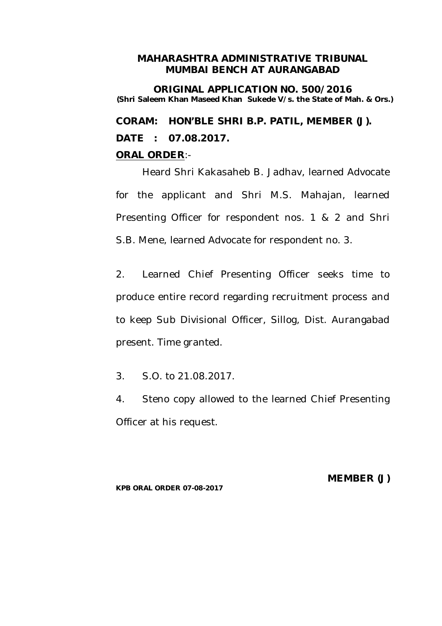**ORIGINAL APPLICATION NO. 500/2016 (Shri Saleem Khan Maseed Khan Sukede V/s. the State of Mah. & Ors.)**

**CORAM: HON'BLE SHRI B.P. PATIL, MEMBER (J). DATE : 07.08.2017.**

### **ORAL ORDER**:-

Heard Shri Kakasaheb B. Jadhav, learned Advocate for the applicant and Shri M.S. Mahajan, learned Presenting Officer for respondent nos. 1 & 2 and Shri S.B. Mene, learned Advocate for respondent no. 3.

2. Learned Chief Presenting Officer seeks time to produce entire record regarding recruitment process and to keep Sub Divisional Officer, Sillog, Dist. Aurangabad present. Time granted.

3. S.O. to 21.08.2017.

4. Steno copy allowed to the learned Chief Presenting Officer at his request.

**KPB ORAL ORDER 07-08-2017**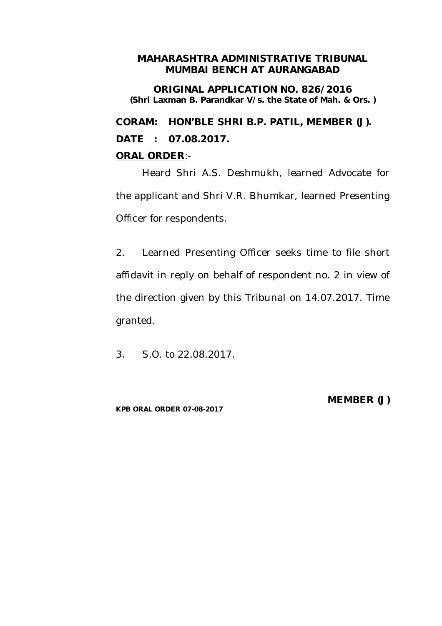**ORIGINAL APPLICATION NO. 826/2016 (Shri Laxman B. Parandkar V/s. the State of Mah. & Ors. )**

**CORAM: HON'BLE SHRI B.P. PATIL, MEMBER (J). DATE : 07.08.2017.**

## **ORAL ORDER**:-

Heard Shri A.S. Deshmukh, learned Advocate for the applicant and Shri V.R. Bhumkar, learned Presenting Officer for respondents.

2. Learned Presenting Officer seeks time to file short affidavit in reply on behalf of respondent no. 2 in view of the direction given by this Tribunal on 14.07.2017. Time granted.

3. S.O. to 22.08.2017.

**KPB ORAL ORDER 07-08-2017**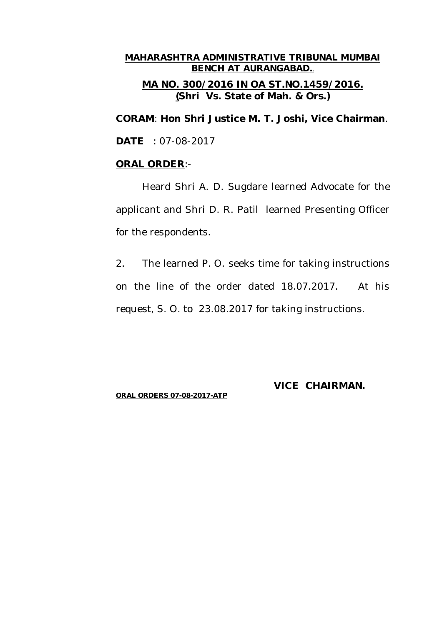# **MAHARASHTRA ADMINISTRATIVE TRIBUNAL MUMBAI BENCH AT AURANGABAD.. MA NO. 300/2016 IN OA ST.NO.1459/2016. (Shri Vs. State of Mah. & Ors.)**

**CORAM**: **Hon Shri Justice M. T. Joshi, Vice Chairman**.

**DATE** : 07-08-2017

#### **ORAL ORDER**:-

Heard Shri A. D. Sugdare learned Advocate for the applicant and Shri D. R. Patil learned Presenting Officer for the respondents.

2. The learned P. O. seeks time for taking instructions on the line of the order dated 18.07.2017. At his request, S. O. to 23.08.2017 for taking instructions.

## **VICE CHAIRMAN.**

#### **ORAL ORDERS 07-08-2017-ATP**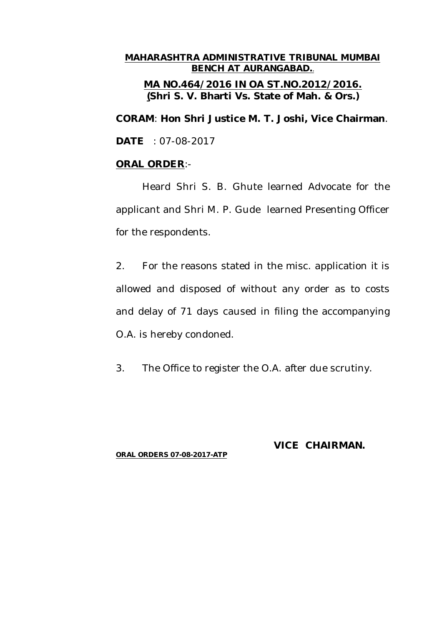# **MAHARASHTRA ADMINISTRATIVE TRIBUNAL MUMBAI BENCH AT AURANGABAD.. MA NO.464/2016 IN OA ST.NO.2012/2016. (Shri S. V. Bharti Vs. State of Mah. & Ors.)**

**CORAM**: **Hon Shri Justice M. T. Joshi, Vice Chairman**.

**DATE** : 07-08-2017

### **ORAL ORDER**:-

Heard Shri S. B. Ghute learned Advocate for the applicant and Shri M. P. Gude learned Presenting Officer for the respondents.

2. For the reasons stated in the misc. application it is allowed and disposed of without any order as to costs and delay of 71 days caused in filing the accompanying O.A. is hereby condoned.

3. The Office to register the O.A. after due scrutiny.

#### **ORAL ORDERS 07-08-2017-ATP**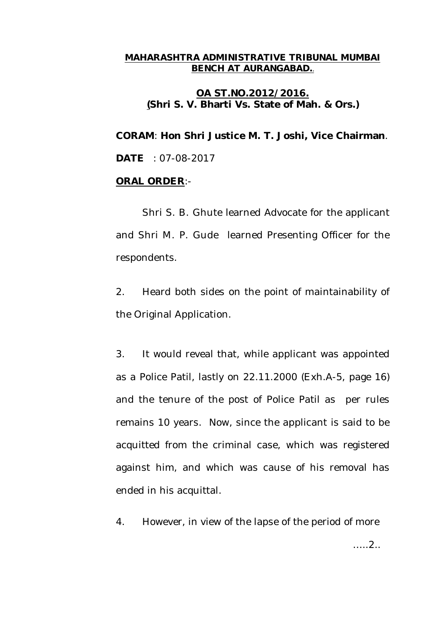## **OA ST.NO.2012/2016. (Shri S. V. Bharti Vs. State of Mah. & Ors.)**

**CORAM**: **Hon Shri Justice M. T. Joshi, Vice Chairman**. **DATE** : 07-08-2017

# **ORAL ORDER**:-

Shri S. B. Ghute learned Advocate for the applicant and Shri M. P. Gude learned Presenting Officer for the respondents.

2. Heard both sides on the point of maintainability of the Original Application.

3. It would reveal that, while applicant was appointed as a Police Patil, lastly on 22.11.2000 (Exh.A-5, page 16) and the tenure of the post of Police Patil as per rules remains 10 years. Now, since the applicant is said to be acquitted from the criminal case, which was registered against him, and which was cause of his removal has ended in his acquittal.

4. However, in view of the lapse of the period of more …..2..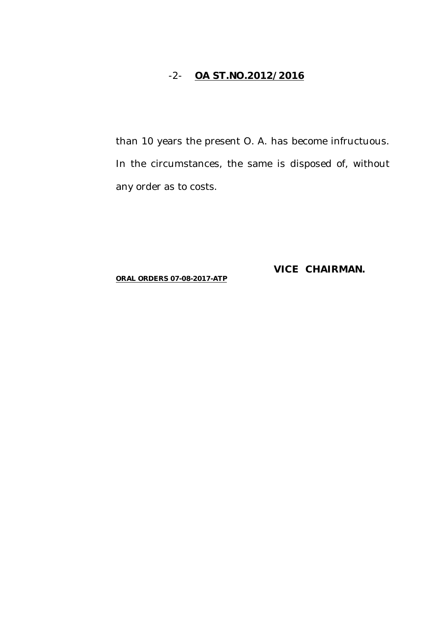## -2- **OA ST.NO.2012/2016**

than 10 years the present O. A. has become infructuous. In the circumstances, the same is disposed of, without any order as to costs.

**VICE CHAIRMAN.**

**ORAL ORDERS 07-08-2017-ATP**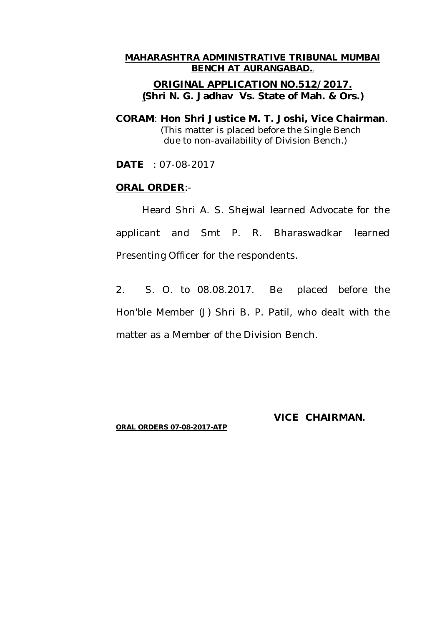### **ORIGINAL APPLICATION NO.512/2017. (Shri N. G. Jadhav Vs. State of Mah. & Ors.)**

**CORAM**: **Hon Shri Justice M. T. Joshi, Vice Chairman**. (This matter is placed before the Single Bench due to non-availability of Division Bench.)

**DATE** : 07-08-2017

### **ORAL ORDER**:-

Heard Shri A. S. Shejwal learned Advocate for the applicant and Smt P. R. Bharaswadkar learned Presenting Officer for the respondents.

2. S. O. to 08.08.2017. Be placed before the Hon'ble Member (J) Shri B. P. Patil, who dealt with the matter as a Member of the Division Bench.

#### **ORAL ORDERS 07-08-2017-ATP**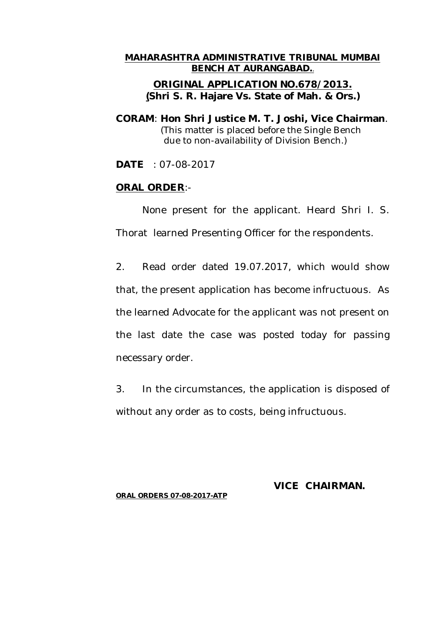## **ORIGINAL APPLICATION NO.678/2013. (Shri S. R. Hajare Vs. State of Mah. & Ors.)**

**CORAM**: **Hon Shri Justice M. T. Joshi, Vice Chairman**. (This matter is placed before the Single Bench due to non-availability of Division Bench.)

**DATE** : 07-08-2017

## **ORAL ORDER**:-

None present for the applicant. Heard Shri I. S. Thorat learned Presenting Officer for the respondents.

2. Read order dated 19.07.2017, which would show that, the present application has become infructuous. As the learned Advocate for the applicant was not present on the last date the case was posted today for passing necessary order.

3. In the circumstances, the application is disposed of without any order as to costs, being infructuous.

## **ORAL ORDERS 07-08-2017-ATP**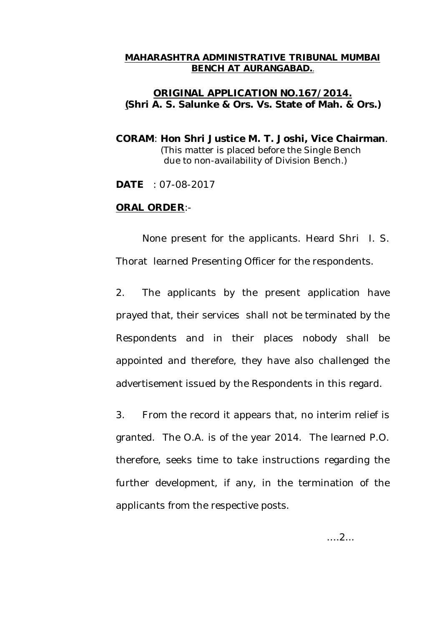## **ORIGINAL APPLICATION NO.167/2014. (Shri A. S. Salunke & Ors. Vs. State of Mah. & Ors.)**

**CORAM**: **Hon Shri Justice M. T. Joshi, Vice Chairman**. (This matter is placed before the Single Bench due to non-availability of Division Bench.)

**DATE** : 07-08-2017

#### **ORAL ORDER**:-

None present for the applicants. Heard Shri I. S. Thorat learned Presenting Officer for the respondents.

2. The applicants by the present application have prayed that, their services shall not be terminated by the Respondents and in their places nobody shall be appointed and therefore, they have also challenged the advertisement issued by the Respondents in this regard.

3. From the record it appears that, no interim relief is granted. The O.A. is of the year 2014. The learned P.O. therefore, seeks time to take instructions regarding the further development, if any, in the termination of the applicants from the respective posts.

….2...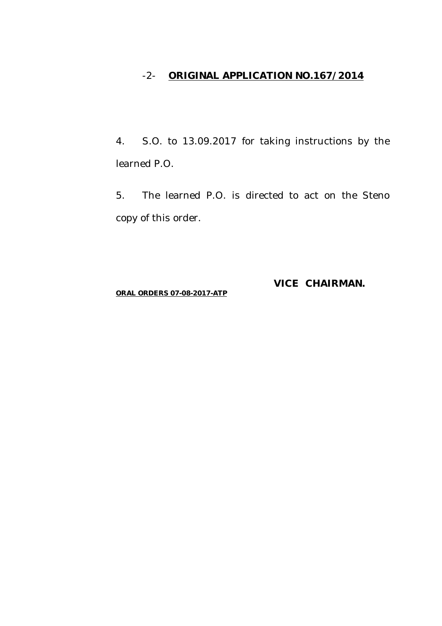## -2- **ORIGINAL APPLICATION NO.167/2014**

4. S.O. to 13.09.2017 for taking instructions by the learned P.O.

5. The learned P.O. is directed to act on the Steno copy of this order.

**ORAL ORDERS 07-08-2017-ATP**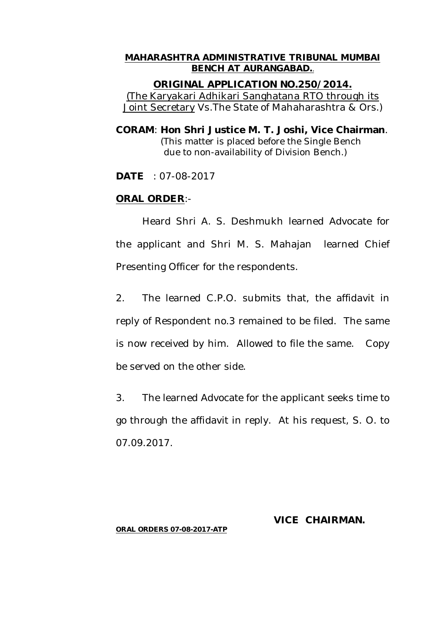# **ORIGINAL APPLICATION NO.250/2014.**

(The Karyakari Adhikari Sanghatana RTO through its Joint Secretary Vs.The State of Mahaharashtra & Ors.)

**CORAM**: **Hon Shri Justice M. T. Joshi, Vice Chairman**. (This matter is placed before the Single Bench due to non-availability of Division Bench.)

**DATE** : 07-08-2017

## **ORAL ORDER**:-

Heard Shri A. S. Deshmukh learned Advocate for the applicant and Shri M. S. Mahajan learned Chief Presenting Officer for the respondents.

2. The learned C.P.O. submits that, the affidavit in reply of Respondent no.3 remained to be filed. The same is now received by him. Allowed to file the same. Copy be served on the other side.

3. The learned Advocate for the applicant seeks time to go through the affidavit in reply. At his request, S. O. to 07.09.2017.

# **ORAL ORDERS 07-08-2017-ATP**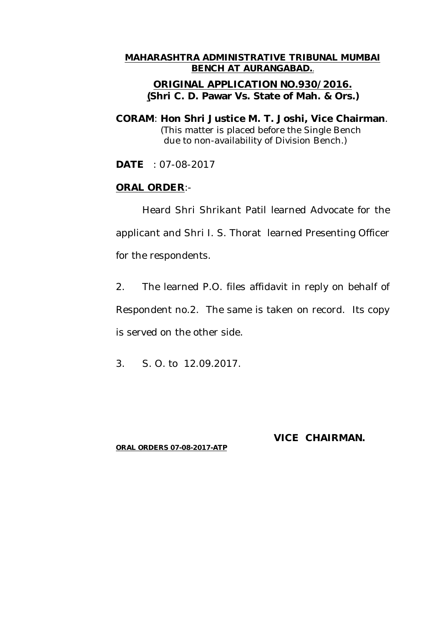## **ORIGINAL APPLICATION NO.930/2016. (Shri C. D. Pawar Vs. State of Mah. & Ors.)**

**CORAM**: **Hon Shri Justice M. T. Joshi, Vice Chairman**. (This matter is placed before the Single Bench due to non-availability of Division Bench.)

**DATE** : 07-08-2017

## **ORAL ORDER**:-

Heard Shri Shrikant Patil learned Advocate for the applicant and Shri I. S. Thorat learned Presenting Officer for the respondents.

2. The learned P.O. files affidavit in reply on behalf of

Respondent no.2. The same is taken on record. Its copy is served on the other side.

3. S. O. to 12.09.2017.

#### **ORAL ORDERS 07-08-2017-ATP**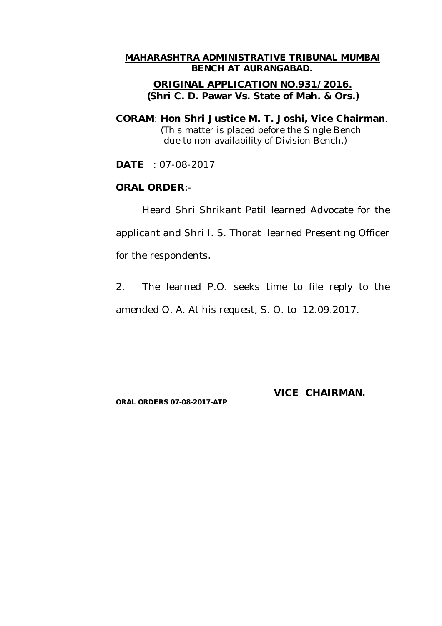## **ORIGINAL APPLICATION NO.931/2016. (Shri C. D. Pawar Vs. State of Mah. & Ors.)**

**CORAM**: **Hon Shri Justice M. T. Joshi, Vice Chairman**. (This matter is placed before the Single Bench due to non-availability of Division Bench.)

**DATE** : 07-08-2017

## **ORAL ORDER**:-

Heard Shri Shrikant Patil learned Advocate for the applicant and Shri I. S. Thorat learned Presenting Officer for the respondents.

2. The learned P.O. seeks time to file reply to the

amended O. A. At his request, S. O. to 12.09.2017.

#### **ORAL ORDERS 07-08-2017-ATP**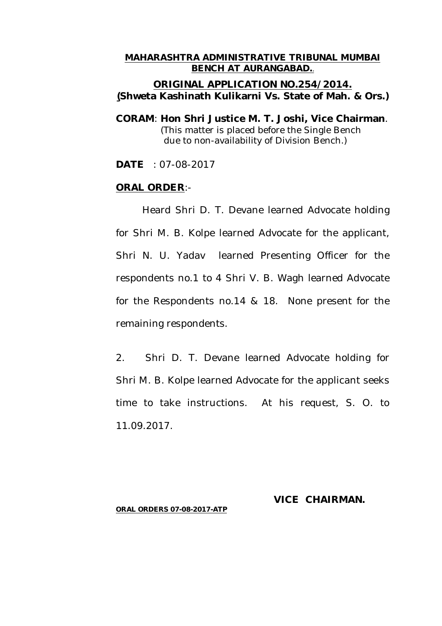## **ORIGINAL APPLICATION NO.254/2014. (Shweta Kashinath Kulikarni Vs. State of Mah. & Ors.)**

**CORAM**: **Hon Shri Justice M. T. Joshi, Vice Chairman**. (This matter is placed before the Single Bench due to non-availability of Division Bench.)

**DATE** : 07-08-2017

## **ORAL ORDER**:-

Heard Shri D. T. Devane learned Advocate holding for Shri M. B. Kolpe learned Advocate for the applicant, Shri N. U. Yadav learned Presenting Officer for the respondents no.1 to 4 Shri V. B. Wagh learned Advocate for the Respondents no.14 & 18. None present for the remaining respondents.

2. Shri D. T. Devane learned Advocate holding for Shri M. B. Kolpe learned Advocate for the applicant seeks time to take instructions. At his request, S. O. to 11.09.2017.

#### **ORAL ORDERS 07-08-2017-ATP**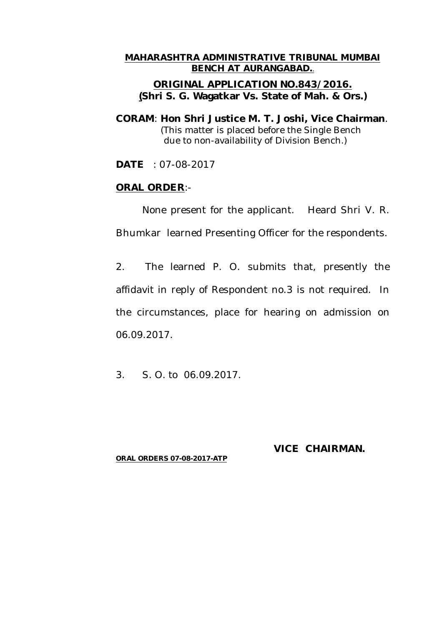## **ORIGINAL APPLICATION NO.843/2016. (Shri S. G. Wagatkar Vs. State of Mah. & Ors.)**

**CORAM**: **Hon Shri Justice M. T. Joshi, Vice Chairman**. (This matter is placed before the Single Bench due to non-availability of Division Bench.)

**DATE** : 07-08-2017

## **ORAL ORDER**:-

None present for the applicant. Heard Shri V. R. Bhumkar learned Presenting Officer for the respondents.

2. The learned P. O. submits that, presently the affidavit in reply of Respondent no.3 is not required. In the circumstances, place for hearing on admission on 06.09.2017.

3. S. O. to 06.09.2017.

#### **ORAL ORDERS 07-08-2017-ATP**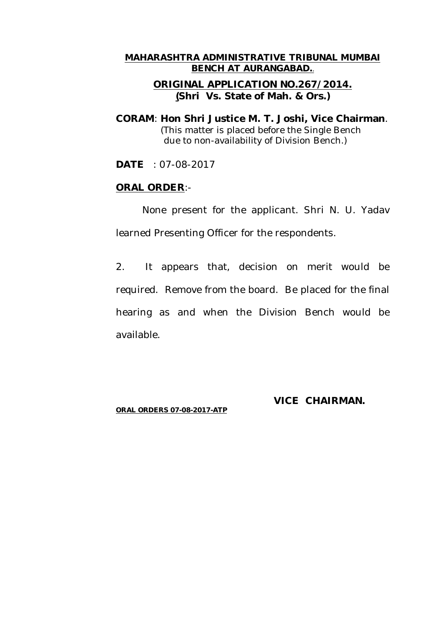## **ORIGINAL APPLICATION NO.267/2014. (Shri Vs. State of Mah. & Ors.)**

**CORAM**: **Hon Shri Justice M. T. Joshi, Vice Chairman**. (This matter is placed before the Single Bench due to non-availability of Division Bench.)

### **DATE** : 07-08-2017

### **ORAL ORDER**:-

None present for the applicant. Shri N. U. Yadav learned Presenting Officer for the respondents.

2. It appears that, decision on merit would be required. Remove from the board. Be placed for the final hearing as and when the Division Bench would be available.

#### **ORAL ORDERS 07-08-2017-ATP**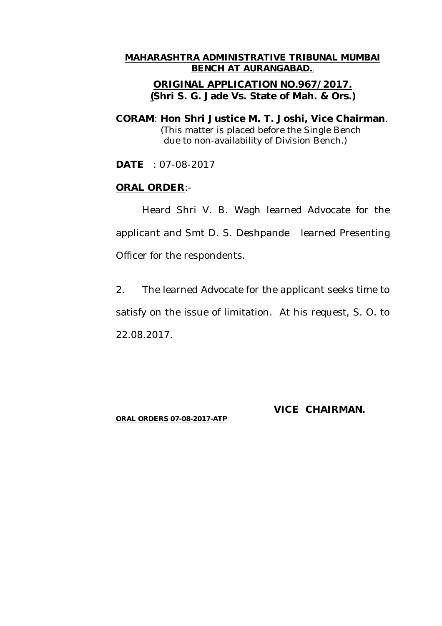## **ORIGINAL APPLICATION NO.967/2017. (Shri S. G. Jade Vs. State of Mah. & Ors.)**

**CORAM**: **Hon Shri Justice M. T. Joshi, Vice Chairman**. (This matter is placed before the Single Bench due to non-availability of Division Bench.)

**DATE** : 07-08-2017

## **ORAL ORDER**:-

Heard Shri V. B. Wagh learned Advocate for the applicant and Smt D. S. Deshpande learned Presenting Officer for the respondents.

2. The learned Advocate for the applicant seeks time to satisfy on the issue of limitation. At his request, S. O. to 22.08.2017.

#### **ORAL ORDERS 07-08-2017-ATP**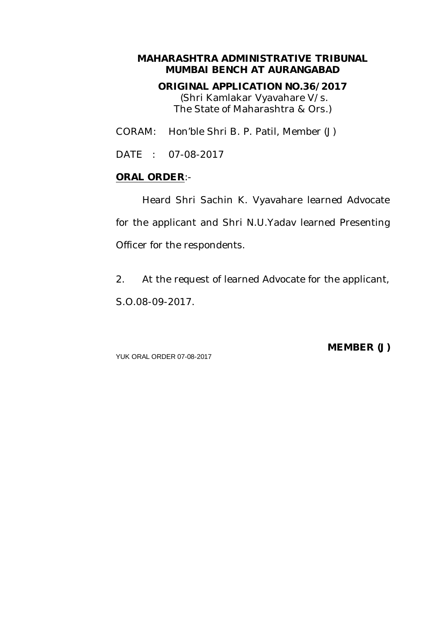**ORIGINAL APPLICATION NO.36/2017**

(Shri Kamlakar Vyavahare V/s. The State of Maharashtra & Ors.)

CORAM: Hon'ble Shri B. P. Patil, Member (J)

DATE : 07-08-2017

### **ORAL ORDER**:-

Heard Shri Sachin K. Vyavahare learned Advocate for the applicant and Shri N.U.Yadav learned Presenting Officer for the respondents.

2. At the request of learned Advocate for the applicant, S.O.08-09-2017.

YUK ORAL ORDER 07-08-2017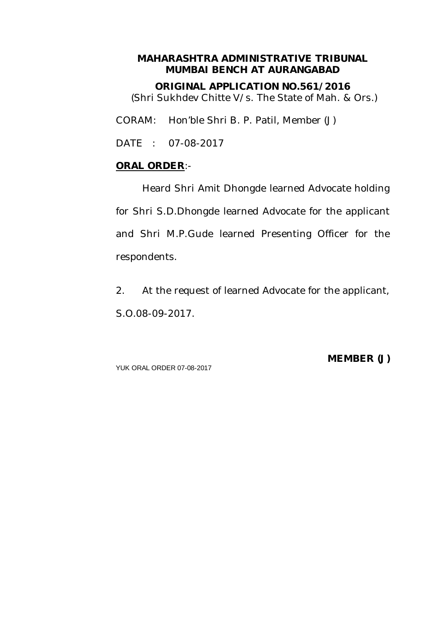**ORIGINAL APPLICATION NO.561/2016**

(Shri Sukhdev Chitte V/s. The State of Mah. & Ors.)

CORAM: Hon'ble Shri B. P. Patil, Member (J)

DATE : 07-08-2017

## **ORAL ORDER**:-

Heard Shri Amit Dhongde learned Advocate holding for Shri S.D.Dhongde learned Advocate for the applicant and Shri M.P.Gude learned Presenting Officer for the respondents.

2. At the request of learned Advocate for the applicant, S.O.08-09-2017.

YUK ORAL ORDER 07-08-2017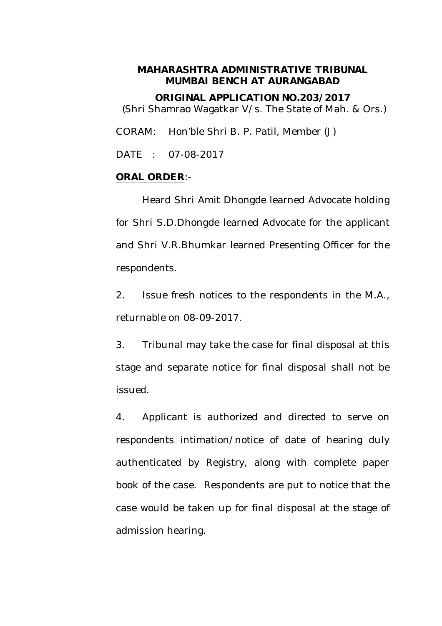**ORIGINAL APPLICATION NO.203/2017**

(Shri Shamrao Wagatkar V/s. The State of Mah. & Ors.)

CORAM: Hon'ble Shri B. P. Patil, Member (J)

DATE : 07-08-2017

### **ORAL ORDER**:-

Heard Shri Amit Dhongde learned Advocate holding for Shri S.D.Dhongde learned Advocate for the applicant and Shri V.R.Bhumkar learned Presenting Officer for the respondents.

2. Issue fresh notices to the respondents in the M.A., returnable on 08-09-2017.

3. Tribunal may take the case for final disposal at this stage and separate notice for final disposal shall not be issued.

4. Applicant is authorized and directed to serve on respondents intimation/notice of date of hearing duly authenticated by Registry, along with complete paper book of the case. Respondents are put to notice that the case would be taken up for final disposal at the stage of admission hearing.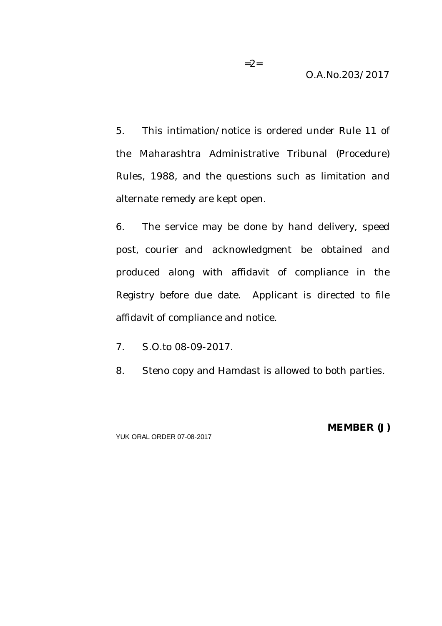5. This intimation/notice is ordered under Rule 11 of the Maharashtra Administrative Tribunal (Procedure) Rules, 1988, and the questions such as limitation and alternate remedy are kept open.

6. The service may be done by hand delivery, speed post, courier and acknowledgment be obtained and produced along with affidavit of compliance in the Registry before due date. Applicant is directed to file affidavit of compliance and notice.

7. S.O.to 08-09-2017.

8. Steno copy and Hamdast is allowed to both parties.

YUK ORAL ORDER 07-08-2017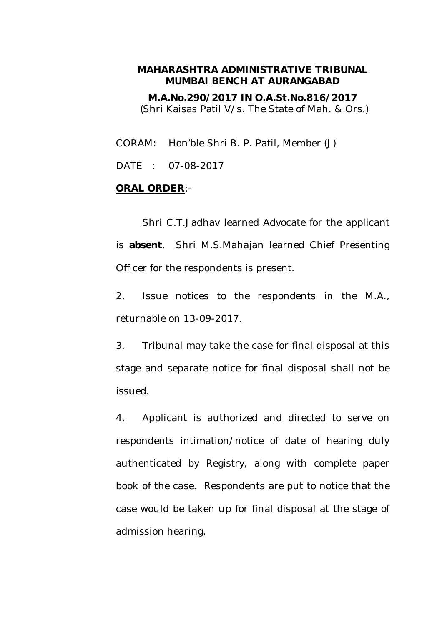**M.A.No.290/2017 IN O.A.St.No.816/2017** (Shri Kaisas Patil V/s. The State of Mah. & Ors.)

CORAM: Hon'ble Shri B. P. Patil, Member (J)

DATE : 07-08-2017

#### **ORAL ORDER**:-

Shri C.T.Jadhav learned Advocate for the applicant is **absent**. Shri M.S.Mahajan learned Chief Presenting Officer for the respondents is present.

2. Issue notices to the respondents in the M.A., returnable on 13-09-2017.

3. Tribunal may take the case for final disposal at this stage and separate notice for final disposal shall not be issued.

4. Applicant is authorized and directed to serve on respondents intimation/notice of date of hearing duly authenticated by Registry, along with complete paper book of the case. Respondents are put to notice that the case would be taken up for final disposal at the stage of admission hearing.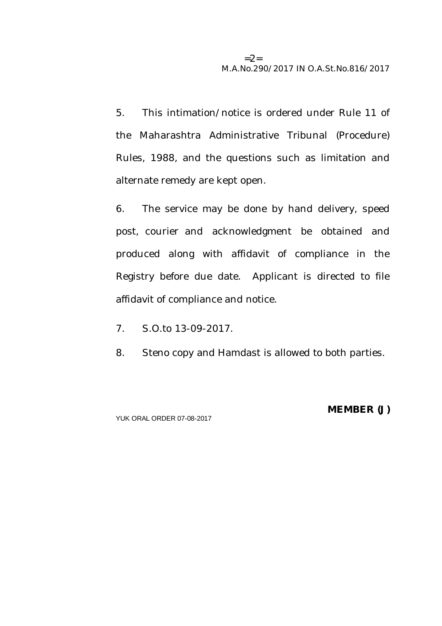5. This intimation/notice is ordered under Rule 11 of the Maharashtra Administrative Tribunal (Procedure) Rules, 1988, and the questions such as limitation and alternate remedy are kept open.

6. The service may be done by hand delivery, speed post, courier and acknowledgment be obtained and produced along with affidavit of compliance in the Registry before due date. Applicant is directed to file affidavit of compliance and notice.

- 7. S.O.to 13-09-2017.
- 8. Steno copy and Hamdast is allowed to both parties.

YUK ORAL ORDER 07-08-2017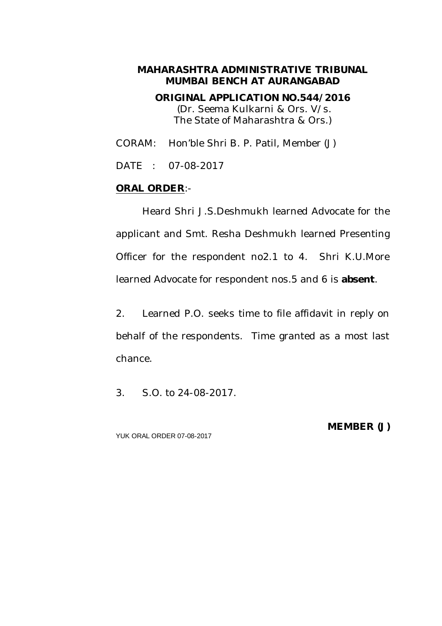**ORIGINAL APPLICATION NO.544/2016**

(Dr. Seema Kulkarni & Ors. V/s. The State of Maharashtra & Ors.)

CORAM: Hon'ble Shri B. P. Patil, Member (J)

DATE : 07-08-2017

#### **ORAL ORDER**:-

Heard Shri J.S.Deshmukh learned Advocate for the applicant and Smt. Resha Deshmukh learned Presenting Officer for the respondent no2.1 to 4. Shri K.U.More learned Advocate for respondent nos.5 and 6 is **absent**.

2. Learned P.O. seeks time to file affidavit in reply on behalf of the respondents. Time granted as a most last chance.

3. S.O. to 24-08-2017.

YUK ORAL ORDER 07-08-2017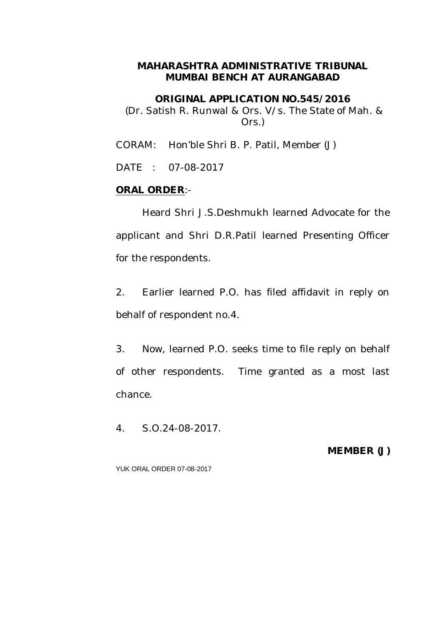#### **ORIGINAL APPLICATION NO.545/2016**

(Dr. Satish R. Runwal & Ors. V/s. The State of Mah. & Ors.)

CORAM: Hon'ble Shri B. P. Patil, Member (J)

DATE : 07-08-2017

#### **ORAL ORDER**:-

Heard Shri J.S.Deshmukh learned Advocate for the applicant and Shri D.R.Patil learned Presenting Officer for the respondents.

2. Earlier learned P.O. has filed affidavit in reply on behalf of respondent no.4.

3. Now, learned P.O. seeks time to file reply on behalf of other respondents. Time granted as a most last chance.

4. S.O.24-08-2017.

#### **MEMBER (J)**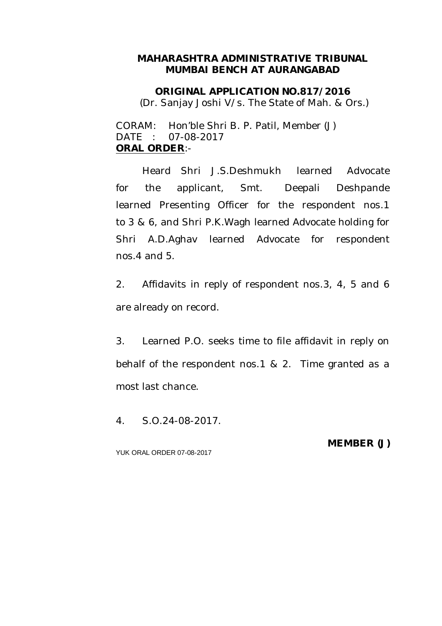#### **ORIGINAL APPLICATION NO.817/2016**

(Dr. Sanjay Joshi V/s. The State of Mah. & Ors.)

CORAM: Hon'ble Shri B. P. Patil, Member (J) DATE : 07-08-2017 **ORAL ORDER**:-

Heard Shri J.S.Deshmukh learned Advocate for the applicant, Smt. Deepali Deshpande learned Presenting Officer for the respondent nos.1 to 3 & 6, and Shri P.K.Wagh learned Advocate holding for Shri A.D.Aghav learned Advocate for respondent nos.4 and 5.

2. Affidavits in reply of respondent nos.3, 4, 5 and 6 are already on record.

3. Learned P.O. seeks time to file affidavit in reply on behalf of the respondent nos.1 & 2. Time granted as a most last chance.

4. S.O.24-08-2017.

YUK ORAL ORDER 07-08-2017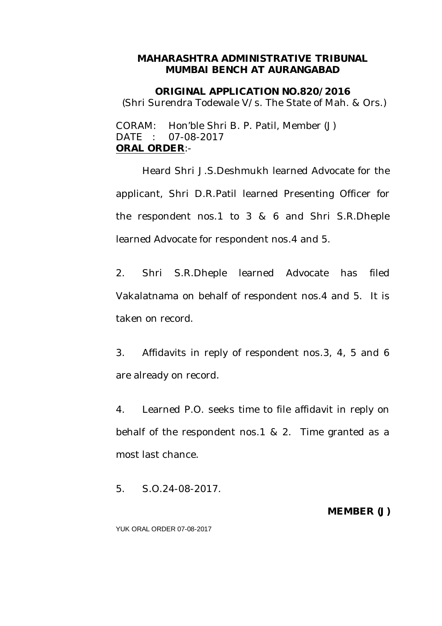**ORIGINAL APPLICATION NO.820/2016**

(Shri Surendra Todewale V/s. The State of Mah. & Ors.)

CORAM: Hon'ble Shri B. P. Patil, Member (J) DATE : 07-08-2017 **ORAL ORDER**:-

Heard Shri J.S.Deshmukh learned Advocate for the applicant, Shri D.R.Patil learned Presenting Officer for the respondent nos.1 to 3 & 6 and Shri S.R.Dheple learned Advocate for respondent nos.4 and 5.

2. Shri S.R.Dheple learned Advocate has filed Vakalatnama on behalf of respondent nos.4 and 5. It is taken on record.

3. Affidavits in reply of respondent nos.3, 4, 5 and 6 are already on record.

4. Learned P.O. seeks time to file affidavit in reply on behalf of the respondent nos.1 & 2. Time granted as a most last chance.

5. S.O.24-08-2017.

# **MEMBER (J)**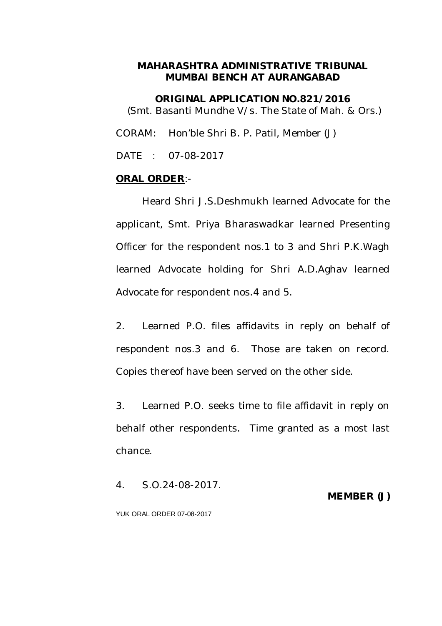**ORIGINAL APPLICATION NO.821/2016** (Smt. Basanti Mundhe V/s. The State of Mah. & Ors.) CORAM: Hon'ble Shri B. P. Patil, Member (J)

DATE : 07-08-2017

### **ORAL ORDER**:-

Heard Shri J.S.Deshmukh learned Advocate for the applicant, Smt. Priya Bharaswadkar learned Presenting Officer for the respondent nos.1 to 3 and Shri P.K.Wagh learned Advocate holding for Shri A.D.Aghav learned Advocate for respondent nos.4 and 5.

2. Learned P.O. files affidavits in reply on behalf of respondent nos.3 and 6. Those are taken on record. Copies thereof have been served on the other side.

3. Learned P.O. seeks time to file affidavit in reply on behalf other respondents. Time granted as a most last chance.

4. S.O.24-08-2017.

**MEMBER (J)**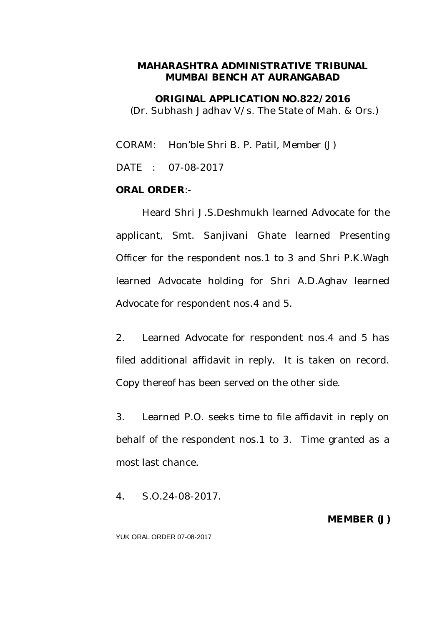**ORIGINAL APPLICATION NO.822/2016**

(Dr. Subhash Jadhav V/s. The State of Mah. & Ors.)

CORAM: Hon'ble Shri B. P. Patil, Member (J)

DATE : 07-08-2017

#### **ORAL ORDER**:-

Heard Shri J.S.Deshmukh learned Advocate for the applicant, Smt. Sanjivani Ghate learned Presenting Officer for the respondent nos.1 to 3 and Shri P.K.Wagh learned Advocate holding for Shri A.D.Aghav learned Advocate for respondent nos.4 and 5.

2. Learned Advocate for respondent nos.4 and 5 has filed additional affidavit in reply. It is taken on record. Copy thereof has been served on the other side.

3. Learned P.O. seeks time to file affidavit in reply on behalf of the respondent nos.1 to 3. Time granted as a most last chance.

4. S.O.24-08-2017.

#### **MEMBER (J)**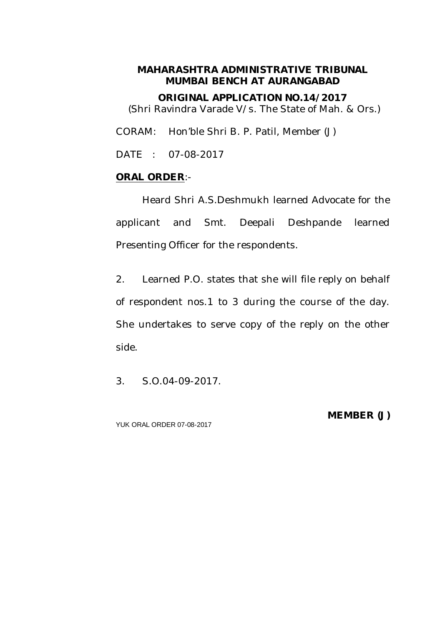**ORIGINAL APPLICATION NO.14/2017**

(Shri Ravindra Varade V/s. The State of Mah. & Ors.)

CORAM: Hon'ble Shri B. P. Patil, Member (J)

DATE : 07-08-2017

## **ORAL ORDER**:-

Heard Shri A.S.Deshmukh learned Advocate for the applicant and Smt. Deepali Deshpande learned Presenting Officer for the respondents.

2. Learned P.O. states that she will file reply on behalf of respondent nos.1 to 3 during the course of the day. She undertakes to serve copy of the reply on the other side.

3. S.O.04-09-2017.

YUK ORAL ORDER 07-08-2017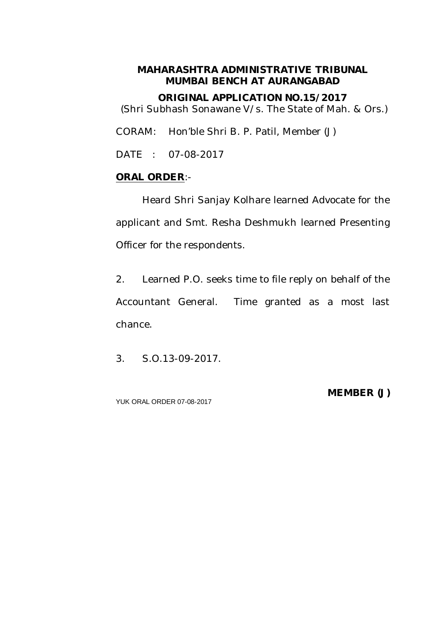## **ORIGINAL APPLICATION NO.15/2017**

(Shri Subhash Sonawane V/s. The State of Mah. & Ors.)

CORAM: Hon'ble Shri B. P. Patil, Member (J)

DATE : 07-08-2017

# **ORAL ORDER**:-

Heard Shri Sanjay Kolhare learned Advocate for the applicant and Smt. Resha Deshmukh learned Presenting Officer for the respondents.

2. Learned P.O. seeks time to file reply on behalf of the Accountant General. Time granted as a most last chance.

3. S.O.13-09-2017.

YUK ORAL ORDER 07-08-2017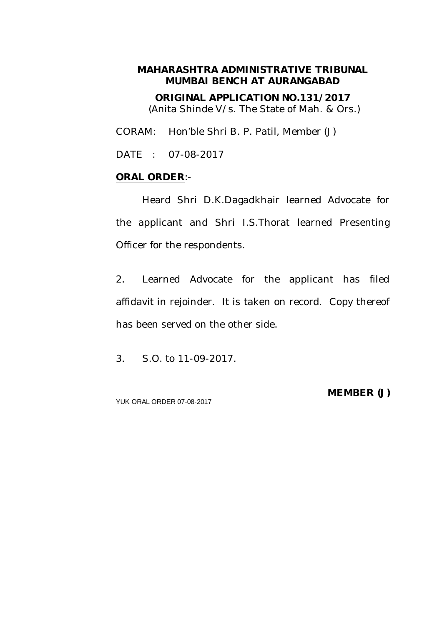**ORIGINAL APPLICATION NO.131/2017** (Anita Shinde V/s. The State of Mah. & Ors.)

CORAM: Hon'ble Shri B. P. Patil, Member (J)

DATE : 07-08-2017

### **ORAL ORDER**:-

Heard Shri D.K.Dagadkhair learned Advocate for the applicant and Shri I.S.Thorat learned Presenting Officer for the respondents.

2. Learned Advocate for the applicant has filed affidavit in rejoinder. It is taken on record. Copy thereof has been served on the other side.

3. S.O. to 11-09-2017.

YUK ORAL ORDER 07-08-2017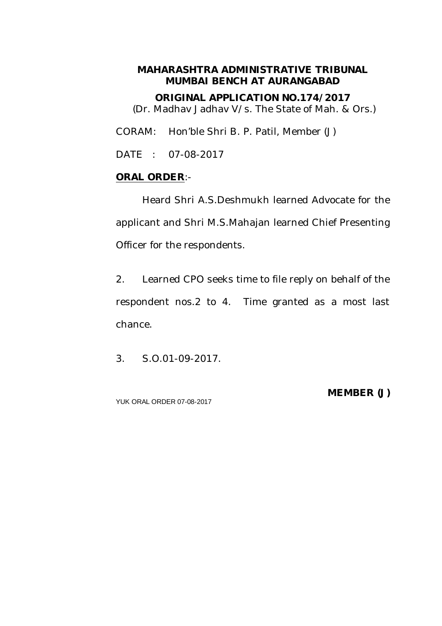**ORIGINAL APPLICATION NO.174/2017**

(Dr. Madhav Jadhav V/s. The State of Mah. & Ors.)

CORAM: Hon'ble Shri B. P. Patil, Member (J)

DATE : 07-08-2017

### **ORAL ORDER**:-

Heard Shri A.S.Deshmukh learned Advocate for the applicant and Shri M.S.Mahajan learned Chief Presenting Officer for the respondents.

2. Learned CPO seeks time to file reply on behalf of the respondent nos.2 to 4. Time granted as a most last chance.

3. S.O.01-09-2017.

YUK ORAL ORDER 07-08-2017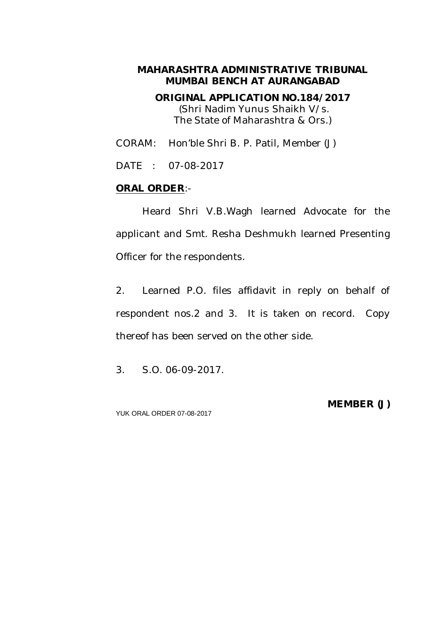**ORIGINAL APPLICATION NO.184/2017** (Shri Nadim Yunus Shaikh V/s. The State of Maharashtra & Ors.)

CORAM: Hon'ble Shri B. P. Patil, Member (J)

DATE : 07-08-2017

### **ORAL ORDER**:-

Heard Shri V.B.Wagh learned Advocate for the applicant and Smt. Resha Deshmukh learned Presenting Officer for the respondents.

2. Learned P.O. files affidavit in reply on behalf of respondent nos.2 and 3. It is taken on record. Copy thereof has been served on the other side.

3. S.O. 06-09-2017.

YUK ORAL ORDER 07-08-2017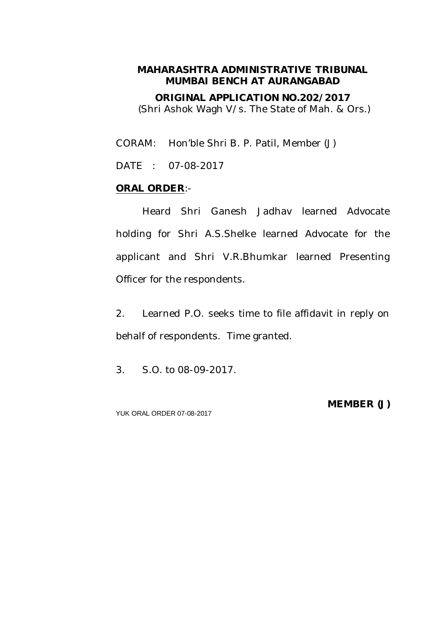**ORIGINAL APPLICATION NO.202/2017**

(Shri Ashok Wagh V/s. The State of Mah. & Ors.)

CORAM: Hon'ble Shri B. P. Patil, Member (J)

DATE : 07-08-2017

## **ORAL ORDER**:-

Heard Shri Ganesh Jadhav learned Advocate holding for Shri A.S.Shelke learned Advocate for the applicant and Shri V.R.Bhumkar learned Presenting Officer for the respondents.

2. Learned P.O. seeks time to file affidavit in reply on behalf of respondents. Time granted.

3. S.O. to 08-09-2017.

YUK ORAL ORDER 07-08-2017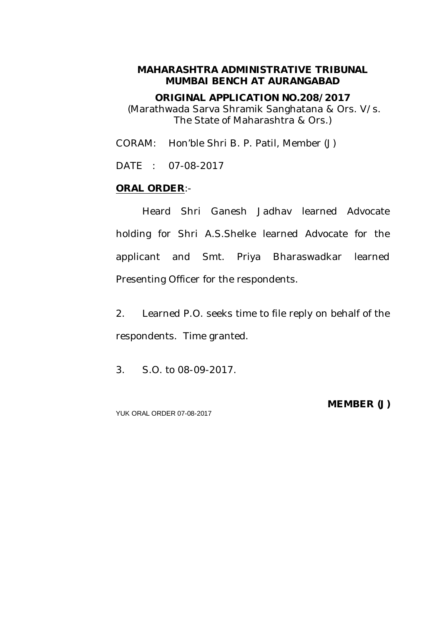**ORIGINAL APPLICATION NO.208/2017**

(Marathwada Sarva Shramik Sanghatana & Ors. V/s. The State of Maharashtra & Ors.)

CORAM: Hon'ble Shri B. P. Patil, Member (J)

DATE : 07-08-2017

#### **ORAL ORDER**:-

Heard Shri Ganesh Jadhav learned Advocate holding for Shri A.S.Shelke learned Advocate for the applicant and Smt. Priya Bharaswadkar learned Presenting Officer for the respondents.

2. Learned P.O. seeks time to file reply on behalf of the respondents. Time granted.

3. S.O. to 08-09-2017.

YUK ORAL ORDER 07-08-2017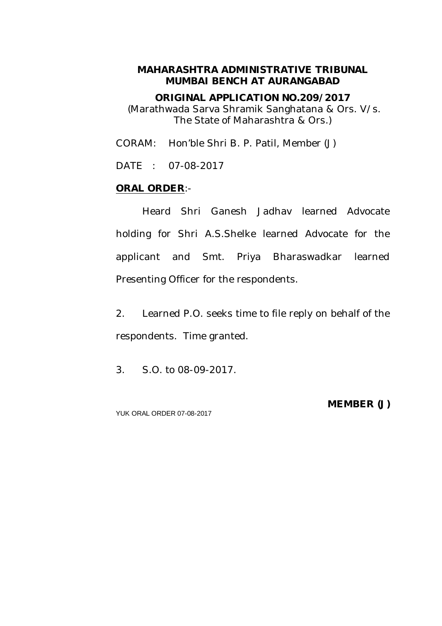**ORIGINAL APPLICATION NO.209/2017**

(Marathwada Sarva Shramik Sanghatana & Ors. V/s. The State of Maharashtra & Ors.)

CORAM: Hon'ble Shri B. P. Patil, Member (J)

DATE : 07-08-2017

#### **ORAL ORDER**:-

Heard Shri Ganesh Jadhav learned Advocate holding for Shri A.S.Shelke learned Advocate for the applicant and Smt. Priya Bharaswadkar learned Presenting Officer for the respondents.

2. Learned P.O. seeks time to file reply on behalf of the respondents. Time granted.

3. S.O. to 08-09-2017.

YUK ORAL ORDER 07-08-2017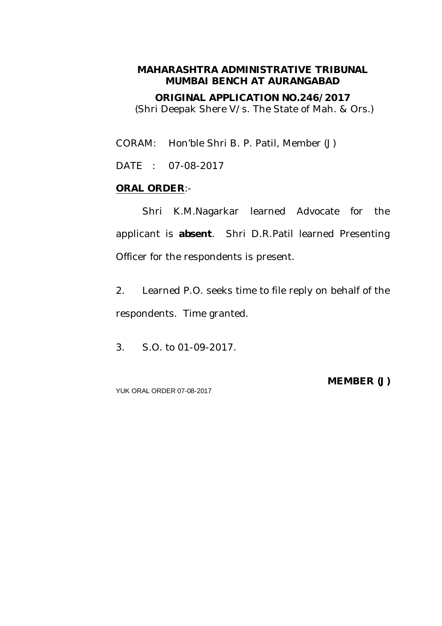**ORIGINAL APPLICATION NO.246/2017**

(Shri Deepak Shere V/s. The State of Mah. & Ors.)

CORAM: Hon'ble Shri B. P. Patil, Member (J)

DATE : 07-08-2017

## **ORAL ORDER**:-

Shri K.M.Nagarkar learned Advocate for the applicant is **absent**. Shri D.R.Patil learned Presenting Officer for the respondents is present.

2. Learned P.O. seeks time to file reply on behalf of the respondents. Time granted.

3. S.O. to 01-09-2017.

YUK ORAL ORDER 07-08-2017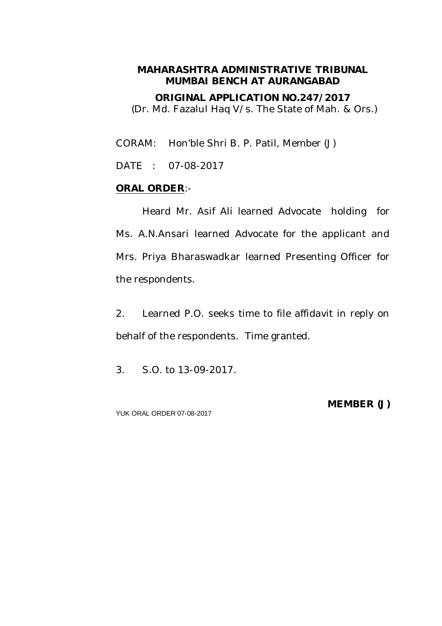### **ORIGINAL APPLICATION NO.247/2017**

(Dr. Md. Fazalul Haq V/s. The State of Mah. & Ors.)

CORAM: Hon'ble Shri B. P. Patil, Member (J)

DATE : 07-08-2017

#### **ORAL ORDER**:-

Heard Mr. Asif Ali learned Advocate holding for Ms. A.N.Ansari learned Advocate for the applicant and Mrs. Priya Bharaswadkar learned Presenting Officer for the respondents.

2. Learned P.O. seeks time to file affidavit in reply on behalf of the respondents. Time granted.

3. S.O. to 13-09-2017.

YUK ORAL ORDER 07-08-2017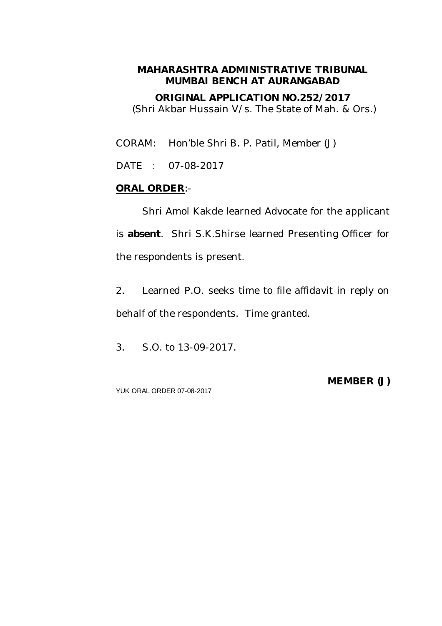**ORIGINAL APPLICATION NO.252/2017**

(Shri Akbar Hussain V/s. The State of Mah. & Ors.)

CORAM: Hon'ble Shri B. P. Patil, Member (J)

DATE : 07-08-2017

## **ORAL ORDER**:-

Shri Amol Kakde learned Advocate for the applicant is **absent**. Shri S.K.Shirse learned Presenting Officer for the respondents is present.

2. Learned P.O. seeks time to file affidavit in reply on behalf of the respondents. Time granted.

3. S.O. to 13-09-2017.

YUK ORAL ORDER 07-08-2017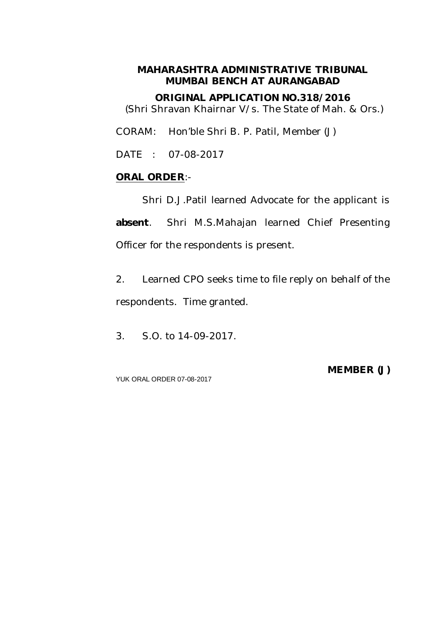**ORIGINAL APPLICATION NO.318/2016**

(Shri Shravan Khairnar V/s. The State of Mah. & Ors.)

CORAM: Hon'ble Shri B. P. Patil, Member (J)

DATE : 07-08-2017

## **ORAL ORDER**:-

Shri D.J.Patil learned Advocate for the applicant is **absent**. Shri M.S.Mahajan learned Chief Presenting Officer for the respondents is present.

2. Learned CPO seeks time to file reply on behalf of the respondents. Time granted.

3. S.O. to 14-09-2017.

YUK ORAL ORDER 07-08-2017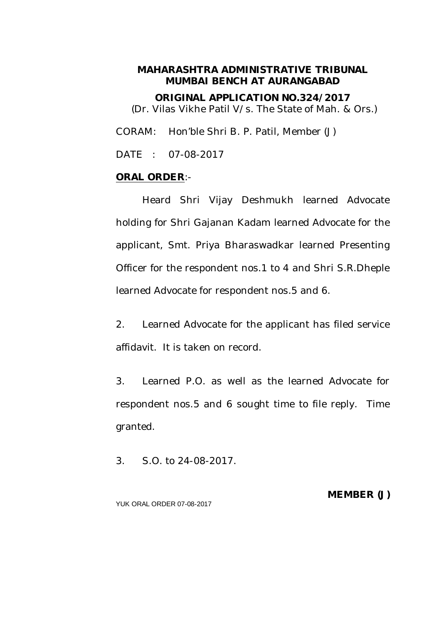**ORIGINAL APPLICATION NO.324/2017** 

(Dr. Vilas Vikhe Patil V/s. The State of Mah. & Ors.)

CORAM: Hon'ble Shri B. P. Patil, Member (J)

DATE : 07-08-2017

### **ORAL ORDER**:-

Heard Shri Vijay Deshmukh learned Advocate holding for Shri Gajanan Kadam learned Advocate for the applicant, Smt. Priya Bharaswadkar learned Presenting Officer for the respondent nos.1 to 4 and Shri S.R.Dheple learned Advocate for respondent nos.5 and 6.

2. Learned Advocate for the applicant has filed service affidavit. It is taken on record.

3. Learned P.O. as well as the learned Advocate for respondent nos.5 and 6 sought time to file reply. Time granted.

3. S.O. to 24-08-2017.

**MEMBER (J)**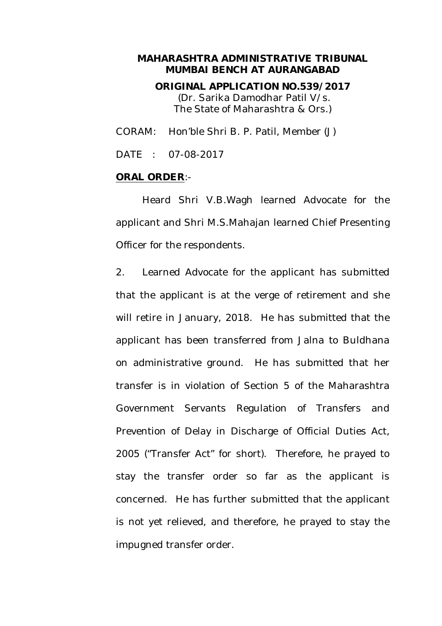**ORIGINAL APPLICATION NO.539/2017** (Dr. Sarika Damodhar Patil V/s. The State of Maharashtra & Ors.)

CORAM: Hon'ble Shri B. P. Patil, Member (J)

DATE : 07-08-2017

#### **ORAL ORDER**:-

Heard Shri V.B.Wagh learned Advocate for the applicant and Shri M.S.Mahajan learned Chief Presenting Officer for the respondents.

2. Learned Advocate for the applicant has submitted that the applicant is at the verge of retirement and she will retire in January, 2018. He has submitted that the applicant has been transferred from Jalna to Buldhana on administrative ground. He has submitted that her transfer is in violation of Section 5 of the Maharashtra Government Servants Regulation of Transfers and Prevention of Delay in Discharge of Official Duties Act, 2005 ("Transfer Act" for short). Therefore, he prayed to stay the transfer order so far as the applicant is concerned. He has further submitted that the applicant is not yet relieved, and therefore, he prayed to stay the impugned transfer order.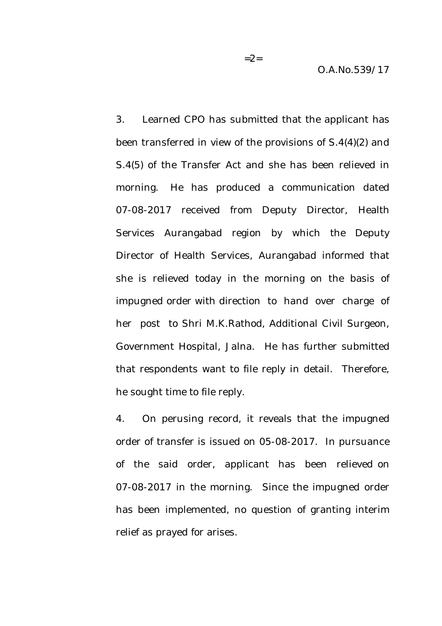3. Learned CPO has submitted that the applicant has been transferred in view of the provisions of S.4(4)(2) and S.4(5) of the Transfer Act and she has been relieved in morning. He has produced a communication dated 07-08-2017 received from Deputy Director, Health Services Aurangabad region by which the Deputy Director of Health Services, Aurangabad informed that she is relieved today in the morning on the basis of impugned order with direction to hand over charge of her post to Shri M.K.Rathod, Additional Civil Surgeon, Government Hospital, Jalna. He has further submitted that respondents want to file reply in detail. Therefore, he sought time to file reply.

4. On perusing record, it reveals that the impugned order of transfer is issued on 05-08-2017. In pursuance of the said order, applicant has been relieved on 07-08-2017 in the morning. Since the impugned order has been implemented, no question of granting interim relief as prayed for arises.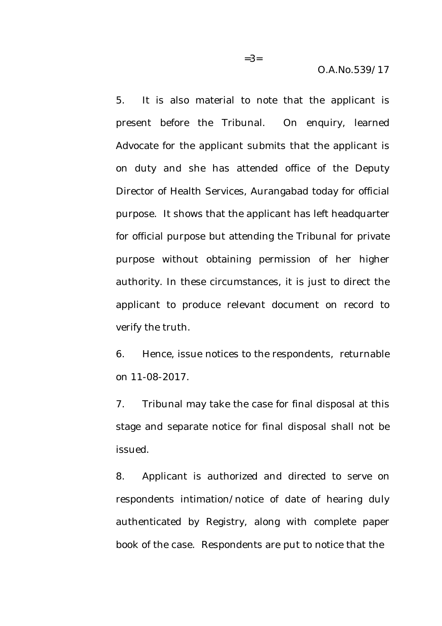5. It is also material to note that the applicant is present before the Tribunal. On enquiry, learned Advocate for the applicant submits that the applicant is on duty and she has attended office of the Deputy Director of Health Services, Aurangabad today for official purpose. It shows that the applicant has left headquarter for official purpose but attending the Tribunal for private purpose without obtaining permission of her higher authority. In these circumstances, it is just to direct the applicant to produce relevant document on record to verify the truth.

6. Hence, issue notices to the respondents, returnable on 11-08-2017.

7. Tribunal may take the case for final disposal at this stage and separate notice for final disposal shall not be issued.

8. Applicant is authorized and directed to serve on respondents intimation/notice of date of hearing duly authenticated by Registry, along with complete paper book of the case. Respondents are put to notice that the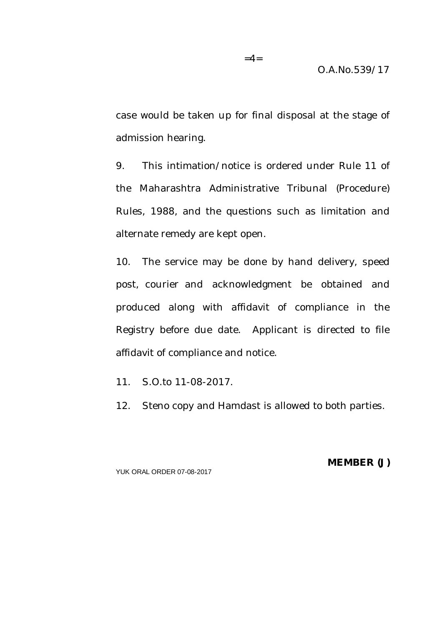case would be taken up for final disposal at the stage of admission hearing.

9. This intimation/notice is ordered under Rule 11 of the Maharashtra Administrative Tribunal (Procedure) Rules, 1988, and the questions such as limitation and alternate remedy are kept open.

10. The service may be done by hand delivery, speed post, courier and acknowledgment be obtained and produced along with affidavit of compliance in the Registry before due date. Applicant is directed to file affidavit of compliance and notice.

11. S.O.to 11-08-2017.

12. Steno copy and Hamdast is allowed to both parties.

YUK ORAL ORDER 07-08-2017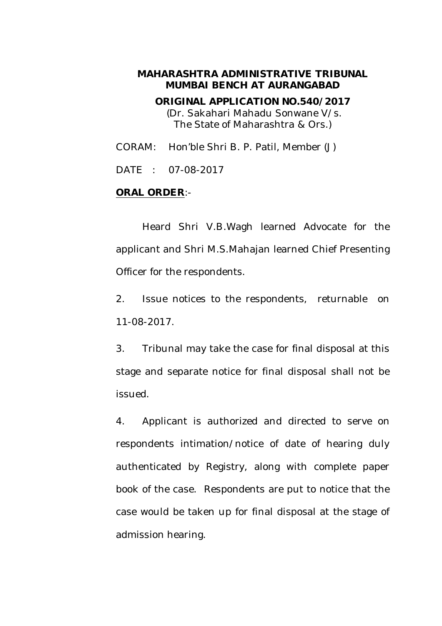**ORIGINAL APPLICATION NO.540/2017** (Dr. Sakahari Mahadu Sonwane V/s. The State of Maharashtra & Ors.)

CORAM: Hon'ble Shri B. P. Patil, Member (J)

DATE : 07-08-2017

### **ORAL ORDER**:-

Heard Shri V.B.Wagh learned Advocate for the applicant and Shri M.S.Mahajan learned Chief Presenting Officer for the respondents.

2. Issue notices to the respondents, returnable on 11-08-2017.

3. Tribunal may take the case for final disposal at this stage and separate notice for final disposal shall not be issued.

4. Applicant is authorized and directed to serve on respondents intimation/notice of date of hearing duly authenticated by Registry, along with complete paper book of the case. Respondents are put to notice that the case would be taken up for final disposal at the stage of admission hearing.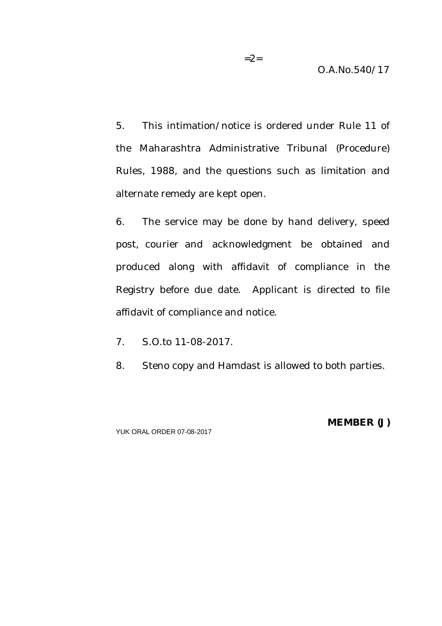5. This intimation/notice is ordered under Rule 11 of the Maharashtra Administrative Tribunal (Procedure) Rules, 1988, and the questions such as limitation and alternate remedy are kept open.

6. The service may be done by hand delivery, speed post, courier and acknowledgment be obtained and produced along with affidavit of compliance in the Registry before due date. Applicant is directed to file affidavit of compliance and notice.

- 7. S.O.to 11-08-2017.
- 8. Steno copy and Hamdast is allowed to both parties.

YUK ORAL ORDER 07-08-2017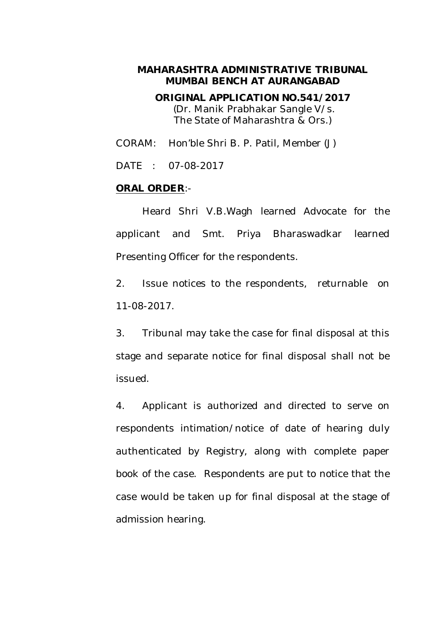**ORIGINAL APPLICATION NO.541/2017** (Dr. Manik Prabhakar Sangle V/s.

The State of Maharashtra & Ors.)

CORAM: Hon'ble Shri B. P. Patil, Member (J)

DATE : 07-08-2017

### **ORAL ORDER**:-

Heard Shri V.B.Wagh learned Advocate for the applicant and Smt. Priya Bharaswadkar learned Presenting Officer for the respondents.

2. Issue notices to the respondents, returnable on 11-08-2017.

3. Tribunal may take the case for final disposal at this stage and separate notice for final disposal shall not be issued.

4. Applicant is authorized and directed to serve on respondents intimation/notice of date of hearing duly authenticated by Registry, along with complete paper book of the case. Respondents are put to notice that the case would be taken up for final disposal at the stage of admission hearing.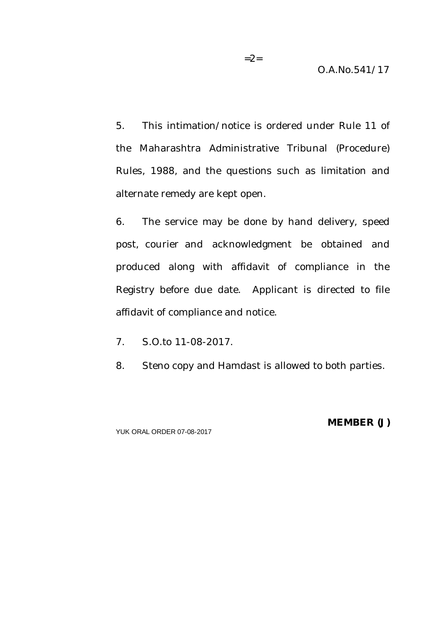5. This intimation/notice is ordered under Rule 11 of the Maharashtra Administrative Tribunal (Procedure) Rules, 1988, and the questions such as limitation and alternate remedy are kept open.

6. The service may be done by hand delivery, speed post, courier and acknowledgment be obtained and produced along with affidavit of compliance in the Registry before due date. Applicant is directed to file affidavit of compliance and notice.

- 7. S.O.to 11-08-2017.
- 8. Steno copy and Hamdast is allowed to both parties.

YUK ORAL ORDER 07-08-2017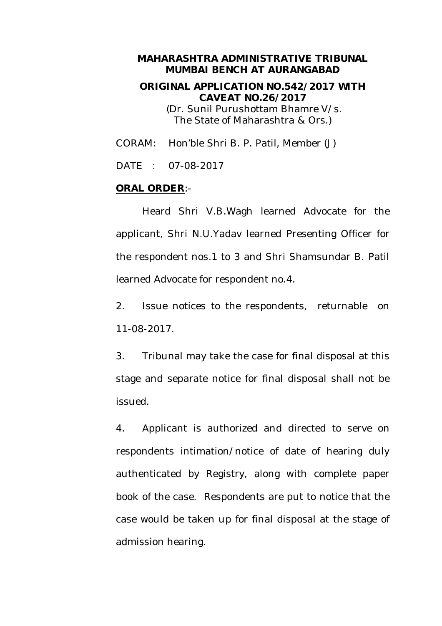**ORIGINAL APPLICATION NO.542/2017 WITH CAVEAT NO.26/2017** (Dr. Sunil Purushottam Bhamre V/s. The State of Maharashtra & Ors.)

CORAM: Hon'ble Shri B. P. Patil, Member (J)

DATE : 07-08-2017

#### **ORAL ORDER**:-

Heard Shri V.B.Wagh learned Advocate for the applicant, Shri N.U.Yadav learned Presenting Officer for the respondent nos.1 to 3 and Shri Shamsundar B. Patil learned Advocate for respondent no.4.

2. Issue notices to the respondents, returnable on 11-08-2017.

3. Tribunal may take the case for final disposal at this stage and separate notice for final disposal shall not be issued.

4. Applicant is authorized and directed to serve on respondents intimation/notice of date of hearing duly authenticated by Registry, along with complete paper book of the case. Respondents are put to notice that the case would be taken up for final disposal at the stage of admission hearing.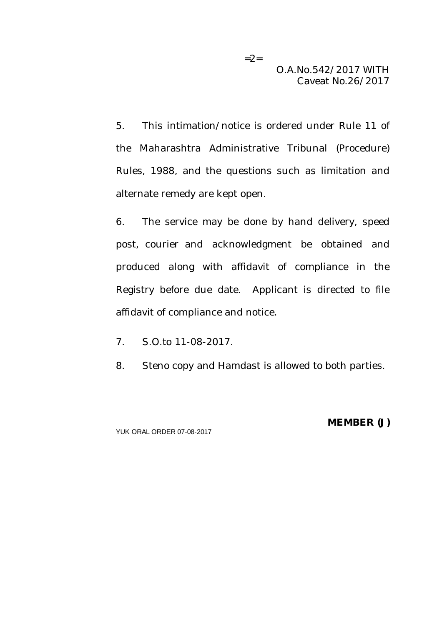O.A.No.542/2017 WITH Caveat No.26/2017

5. This intimation/notice is ordered under Rule 11 of the Maharashtra Administrative Tribunal (Procedure) Rules, 1988, and the questions such as limitation and alternate remedy are kept open.

6. The service may be done by hand delivery, speed post, courier and acknowledgment be obtained and produced along with affidavit of compliance in the Registry before due date. Applicant is directed to file affidavit of compliance and notice.

7. S.O.to 11-08-2017.

8. Steno copy and Hamdast is allowed to both parties.

YUK ORAL ORDER 07-08-2017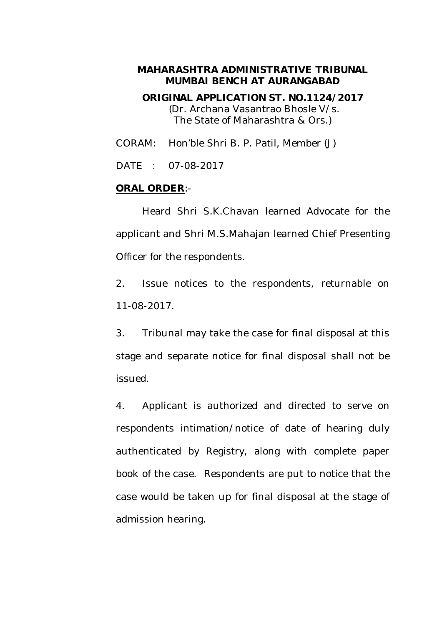**ORIGINAL APPLICATION ST. NO.1124/2017** (Dr. Archana Vasantrao Bhosle V/s. The State of Maharashtra & Ors.)

CORAM: Hon'ble Shri B. P. Patil, Member (J)

DATE : 07-08-2017

### **ORAL ORDER**:-

Heard Shri S.K.Chavan learned Advocate for the applicant and Shri M.S.Mahajan learned Chief Presenting Officer for the respondents.

2. Issue notices to the respondents, returnable on 11-08-2017.

3. Tribunal may take the case for final disposal at this stage and separate notice for final disposal shall not be issued.

4. Applicant is authorized and directed to serve on respondents intimation/notice of date of hearing duly authenticated by Registry, along with complete paper book of the case. Respondents are put to notice that the case would be taken up for final disposal at the stage of admission hearing.